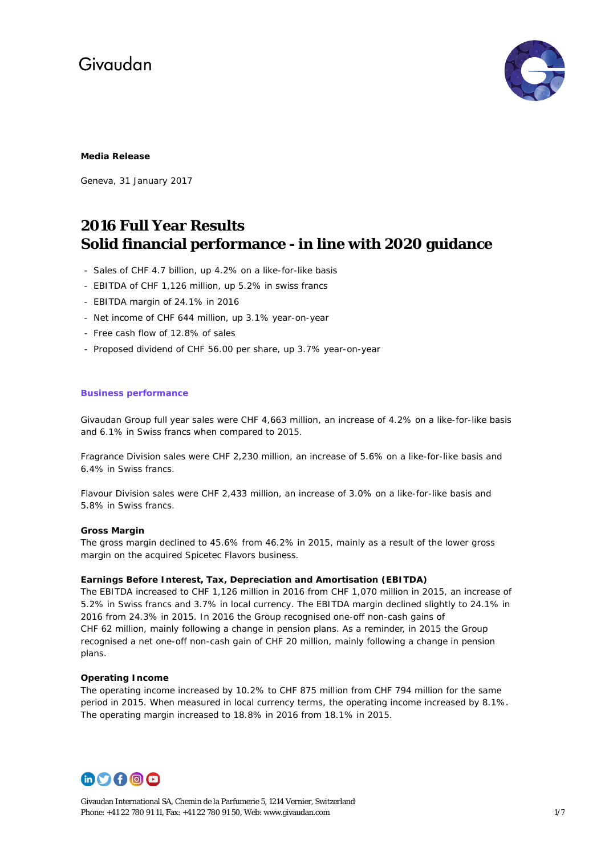

### **Media Release**

Geneva, 31 January 2017

### **2016 Full Year Results Solid financial performance - in line with 2020 guidance**

- Sales of CHF 4.7 billion, up 4.2% on a like-for-like basis
- EBITDA of CHF 1,126 million, up 5.2% in swiss francs
- EBITDA margin of 24.1% in 2016
- Net income of CHF 644 million, up 3.1% year-on-year
- Free cash flow of 12.8% of sales
- Proposed dividend of CHF 56.00 per share, up 3.7% year-on-year

### **Business performance**

Givaudan Group full year sales were CHF 4,663 million, an increase of 4.2% on a like-for-like basis and 6.1% in Swiss francs when compared to 2015.

Fragrance Division sales were CHF 2,230 million, an increase of 5.6% on a like-for-like basis and 6.4% in Swiss francs.

Flavour Division sales were CHF 2,433 million, an increase of 3.0% on a like-for-like basis and 5.8% in Swiss francs.

### **Gross Margin**

The gross margin declined to 45.6% from 46.2% in 2015, mainly as a result of the lower gross margin on the acquired Spicetec Flavors business.

### **Earnings Before Interest, Tax, Depreciation and Amortisation (EBITDA)**

The EBITDA increased to CHF 1,126 million in 2016 from CHF 1,070 million in 2015, an increase of 5.2% in Swiss francs and 3.7% in local currency. The EBITDA margin declined slightly to 24.1% in 2016 from 24.3% in 2015. In 2016 the Group recognised one-off non-cash gains of CHF 62 million, mainly following a change in pension plans. As a reminder, in 2015 the Group recognised a net one-off non-cash gain of CHF 20 million, mainly following a change in pension plans.

### **Operating Income**

The operating income increased by 10.2% to CHF 875 million from CHF 794 million for the same period in 2015. When measured in local currency terms, the operating income increased by 8.1%. The operating margin increased to 18.8% in 2016 from 18.1% in 2015.



Givaudan International SA, Chemin de la Parfumerie 5, 1214 Vernier, Switzerland Phone: +41 22 780 91 11, Fax: +41 22 780 91 50, Web[: www.givaudan.com](http://www.givaudan.com/) 1/7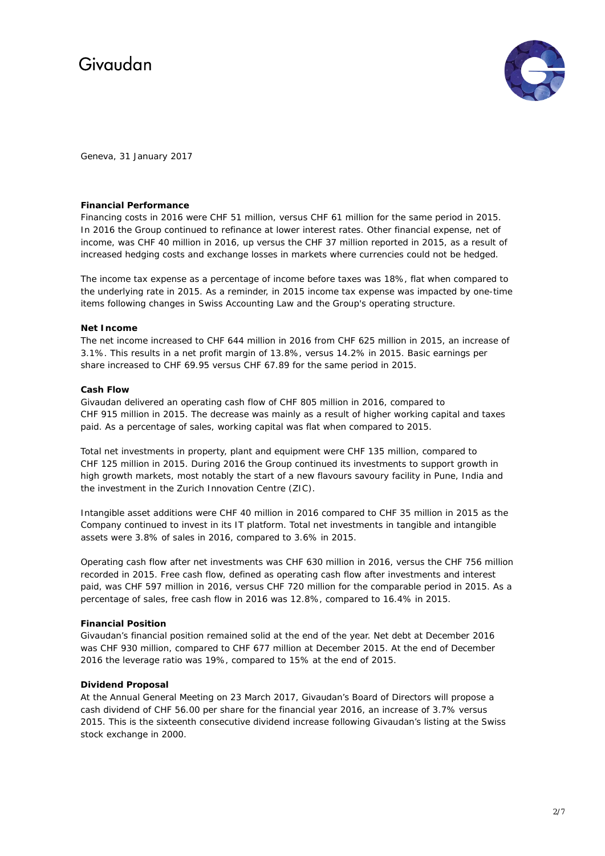

Geneva, 31 January 2017

### **Financial Performance**

Financing costs in 2016 were CHF 51 million, versus CHF 61 million for the same period in 2015. In 2016 the Group continued to refinance at lower interest rates. Other financial expense, net of income, was CHF 40 million in 2016, up versus the CHF 37 million reported in 2015, as a result of increased hedging costs and exchange losses in markets where currencies could not be hedged.

The income tax expense as a percentage of income before taxes was 18%, flat when compared to the underlying rate in 2015. As a reminder, in 2015 income tax expense was impacted by one-time items following changes in Swiss Accounting Law and the Group's operating structure.

### **Net Income**

The net income increased to CHF 644 million in 2016 from CHF 625 million in 2015, an increase of 3.1%. This results in a net profit margin of 13.8%, versus 14.2% in 2015. Basic earnings per share increased to CHF 69.95 versus CHF 67.89 for the same period in 2015.

### **Cash Flow**

Givaudan delivered an operating cash flow of CHF 805 million in 2016, compared to CHF 915 million in 2015. The decrease was mainly as a result of higher working capital and taxes paid. As a percentage of sales, working capital was flat when compared to 2015.

Total net investments in property, plant and equipment were CHF 135 million, compared to CHF 125 million in 2015. During 2016 the Group continued its investments to support growth in high growth markets, most notably the start of a new flavours savoury facility in Pune, India and the investment in the Zurich Innovation Centre (ZIC).

Intangible asset additions were CHF 40 million in 2016 compared to CHF 35 million in 2015 as the Company continued to invest in its IT platform. Total net investments in tangible and intangible assets were 3.8% of sales in 2016, compared to 3.6% in 2015.

Operating cash flow after net investments was CHF 630 million in 2016, versus the CHF 756 million recorded in 2015. Free cash flow, defined as operating cash flow after investments and interest paid, was CHF 597 million in 2016, versus CHF 720 million for the comparable period in 2015. As a percentage of sales, free cash flow in 2016 was 12.8%, compared to 16.4% in 2015.

### **Financial Position**

Givaudan's financial position remained solid at the end of the year. Net debt at December 2016 was CHF 930 million, compared to CHF 677 million at December 2015. At the end of December 2016 the leverage ratio was 19%, compared to 15% at the end of 2015.

### **Dividend Proposal**

At the Annual General Meeting on 23 March 2017, Givaudan's Board of Directors will propose a cash dividend of CHF 56.00 per share for the financial year 2016, an increase of 3.7% versus 2015. This is the sixteenth consecutive dividend increase following Givaudan's listing at the Swiss stock exchange in 2000.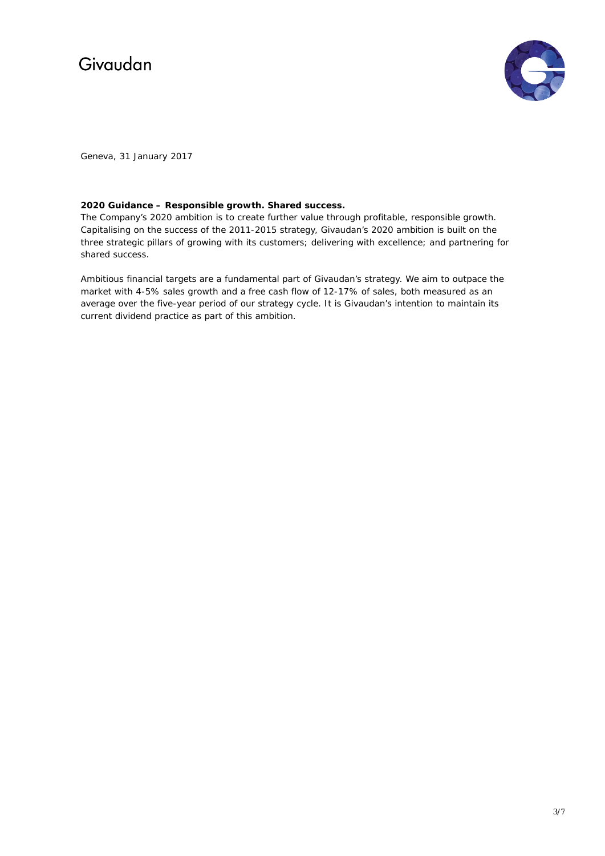

Geneva, 31 January 2017

### **2020 Guidance – Responsible growth. Shared success.**

The Company's 2020 ambition is to create further value through profitable, responsible growth. Capitalising on the success of the 2011-2015 strategy, Givaudan's 2020 ambition is built on the three strategic pillars of growing with its customers; delivering with excellence; and partnering for shared success.

Ambitious financial targets are a fundamental part of Givaudan's strategy. We aim to outpace the market with 4-5% sales growth and a free cash flow of 12-17% of sales, both measured as an average over the five-year period of our strategy cycle. It is Givaudan's intention to maintain its current dividend practice as part of this ambition.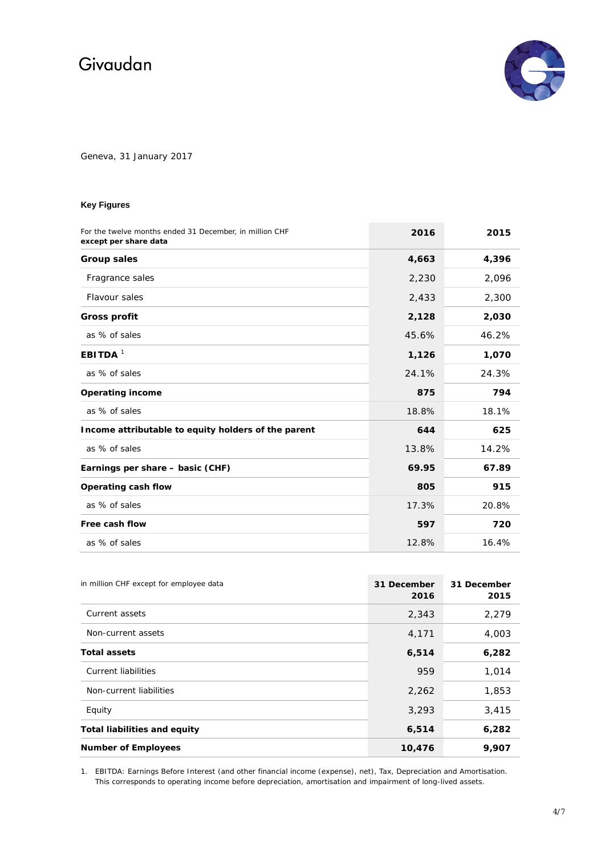

Geneva, 31 January 2017

### **Key Figures**

| For the twelve months ended 31 December, in million CHF<br>except per share data | 2016  | 2015  |
|----------------------------------------------------------------------------------|-------|-------|
| <b>Group sales</b>                                                               | 4,663 | 4,396 |
| Fragrance sales                                                                  | 2,230 | 2,096 |
| Flavour sales                                                                    | 2,433 | 2,300 |
| <b>Gross profit</b>                                                              | 2,128 | 2,030 |
| as % of sales                                                                    | 45.6% | 46.2% |
| EBITDA $1$                                                                       | 1,126 | 1,070 |
| as % of sales                                                                    | 24.1% | 24.3% |
| <b>Operating income</b>                                                          | 875   | 794   |
| as % of sales                                                                    | 18.8% | 18.1% |
| Income attributable to equity holders of the parent                              | 644   | 625   |
| as % of sales                                                                    | 13.8% | 14.2% |
| Earnings per share - basic (CHF)                                                 | 69.95 | 67.89 |
| Operating cash flow                                                              | 805   | 915   |
| as % of sales                                                                    | 17.3% | 20.8% |
| Free cash flow                                                                   | 597   | 720   |
| as % of sales                                                                    | 12.8% | 16.4% |

| in million CHF except for employee data | 31 December<br>2016 | 31 December<br>2015 |
|-----------------------------------------|---------------------|---------------------|
| Current assets                          | 2,343               | 2,279               |
| Non-current assets                      | 4,171               | 4,003               |
| <b>Total assets</b>                     | 6,514               | 6,282               |
| Current liabilities                     | 959                 | 1,014               |
| Non-current liabilities                 | 2,262               | 1,853               |
| Equity                                  | 3,293               | 3,415               |
| <b>Total liabilities and equity</b>     | 6,514               | 6,282               |
| <b>Number of Employees</b>              | 10,476              | 9,907               |

1. EBITDA: Earnings Before Interest (and other financial income (expense), net), Tax, Depreciation and Amortisation. This corresponds to operating income before depreciation, amortisation and impairment of long-lived assets.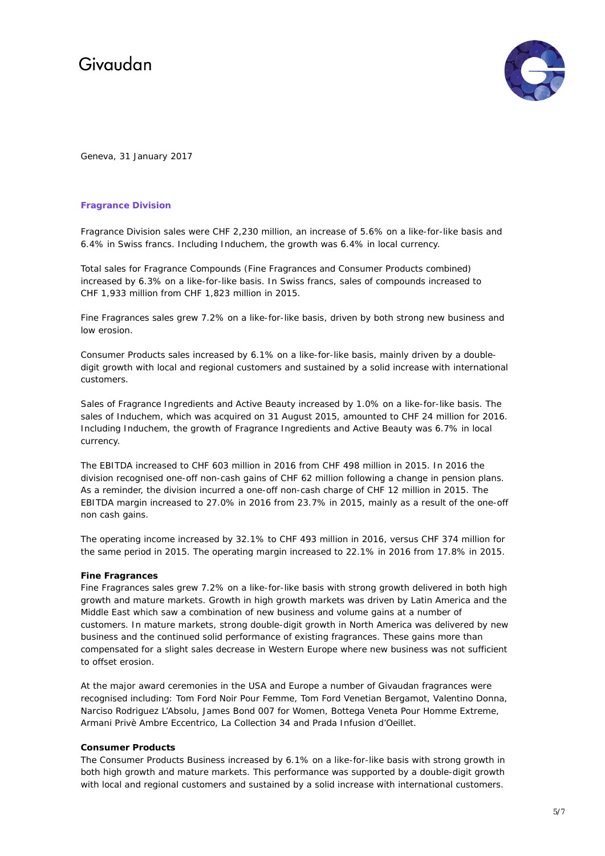

Geneva, 31 January 2017

### **Fragrance Division**

Fragrance Division sales were CHF 2,230 million, an increase of 5.6% on a like-for-like basis and 6.4% in Swiss francs. Including Induchem, the growth was 6.4% in local currency.

Total sales for Fragrance Compounds (Fine Fragrances and Consumer Products combined) increased by 6.3% on a like-for-like basis. In Swiss francs, sales of compounds increased to CHF 1,933 million from CHF 1,823 million in 2015.

Fine Fragrances sales grew 7.2% on a like-for-like basis, driven by both strong new business and low erosion.

Consumer Products sales increased by 6.1% on a like-for-like basis, mainly driven by a doubledigit growth with local and regional customers and sustained by a solid increase with international customers.

Sales of Fragrance Ingredients and Active Beauty increased by 1.0% on a like-for-like basis. The sales of Induchem, which was acquired on 31 August 2015, amounted to CHF 24 million for 2016. Including Induchem, the growth of Fragrance Ingredients and Active Beauty was 6.7% in local currency.

The EBITDA increased to CHF 603 million in 2016 from CHF 498 million in 2015. In 2016 the division recognised one-off non-cash gains of CHF 62 million following a change in pension plans. As a reminder, the division incurred a one-off non-cash charge of CHF 12 million in 2015. The EBITDA margin increased to 27.0% in 2016 from 23.7% in 2015, mainly as a result of the one-off non cash gains.

The operating income increased by 32.1% to CHF 493 million in 2016, versus CHF 374 million for the same period in 2015. The operating margin increased to 22.1% in 2016 from 17.8% in 2015.

### **Fine Fragrances**

Fine Fragrances sales grew 7.2% on a like-for-like basis with strong growth delivered in both high growth and mature markets. Growth in high growth markets was driven by Latin America and the Middle East which saw a combination of new business and volume gains at a number of customers. In mature markets, strong double-digit growth in North America was delivered by new business and the continued solid performance of existing fragrances. These gains more than compensated for a slight sales decrease in Western Europe where new business was not sufficient to offset erosion.

At the major award ceremonies in the USA and Europe a number of Givaudan fragrances were recognised including: Tom Ford Noir Pour Femme, Tom Ford Venetian Bergamot, Valentino Donna, Narciso Rodriguez L'Absolu, James Bond 007 for Women, Bottega Veneta Pour Homme Extreme, Armani Privè Ambre Eccentrico, La Collection 34 and Prada Infusion d'Oeillet.

### **Consumer Products**

The Consumer Products Business increased by 6.1% on a like-for-like basis with strong growth in both high growth and mature markets. This performance was supported by a double-digit growth with local and regional customers and sustained by a solid increase with international customers.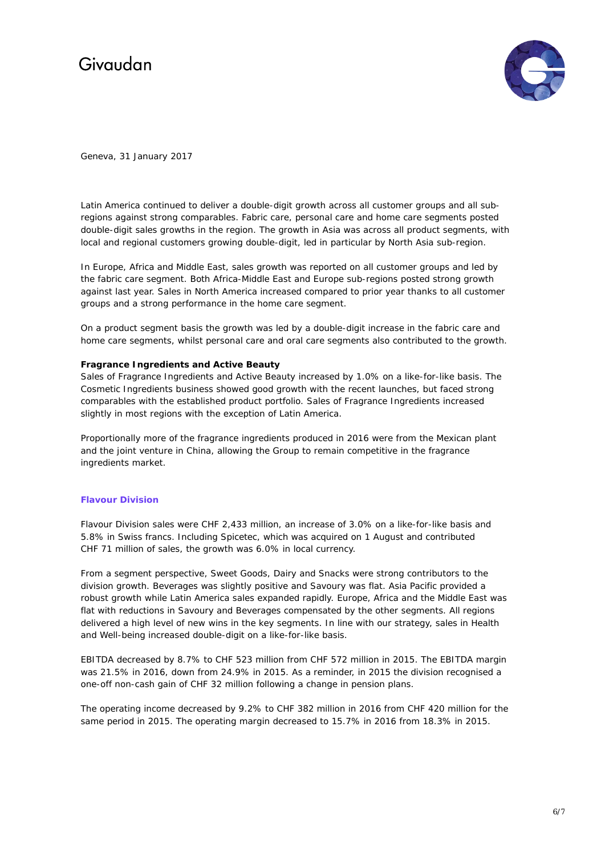

Geneva, 31 January 2017

Latin America continued to deliver a double-digit growth across all customer groups and all subregions against strong comparables. Fabric care, personal care and home care segments posted double-digit sales growths in the region. The growth in Asia was across all product segments, with local and regional customers growing double-digit, led in particular by North Asia sub-region.

In Europe, Africa and Middle East, sales growth was reported on all customer groups and led by the fabric care segment. Both Africa-Middle East and Europe sub-regions posted strong growth against last year. Sales in North America increased compared to prior year thanks to all customer groups and a strong performance in the home care segment.

On a product segment basis the growth was led by a double-digit increase in the fabric care and home care segments, whilst personal care and oral care segments also contributed to the growth.

### **Fragrance Ingredients and Active Beauty**

Sales of Fragrance Ingredients and Active Beauty increased by 1.0% on a like-for-like basis. The Cosmetic Ingredients business showed good growth with the recent launches, but faced strong comparables with the established product portfolio. Sales of Fragrance Ingredients increased slightly in most regions with the exception of Latin America.

Proportionally more of the fragrance ingredients produced in 2016 were from the Mexican plant and the joint venture in China, allowing the Group to remain competitive in the fragrance ingredients market.

### **Flavour Division**

Flavour Division sales were CHF 2,433 million, an increase of 3.0% on a like-for-like basis and 5.8% in Swiss francs. Including Spicetec, which was acquired on 1 August and contributed CHF 71 million of sales, the growth was 6.0% in local currency.

From a segment perspective, Sweet Goods, Dairy and Snacks were strong contributors to the division growth. Beverages was slightly positive and Savoury was flat. Asia Pacific provided a robust growth while Latin America sales expanded rapidly. Europe, Africa and the Middle East was flat with reductions in Savoury and Beverages compensated by the other segments. All regions delivered a high level of new wins in the key segments. In line with our strategy, sales in Health and Well-being increased double-digit on a like-for-like basis.

EBITDA decreased by 8.7% to CHF 523 million from CHF 572 million in 2015. The EBITDA margin was 21.5% in 2016, down from 24.9% in 2015. As a reminder, in 2015 the division recognised a one-off non-cash gain of CHF 32 million following a change in pension plans.

The operating income decreased by 9.2% to CHF 382 million in 2016 from CHF 420 million for the same period in 2015. The operating margin decreased to 15.7% in 2016 from 18.3% in 2015.